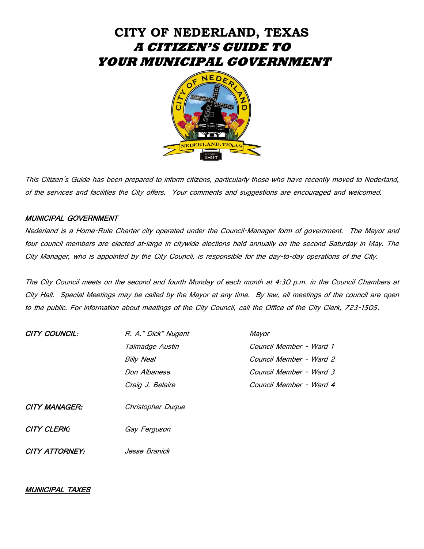# **CITY OF NEDERLAND, TEXAS A CITIZEN'S GUIDE TO YOUR MUNICIPAL GOVERNMENT**



This Citizen's Guide has been prepared to inform citizens, particularly those who have recently moved to Nederland, of the services and facilities the City offers. Your comments and suggestions are encouraged and welcomed.

## MUNICIPAL GOVERNMENT

Nederland is a Home-Rule Charter city operated under the Council-Manager form of government. The Mayor and four council members are elected at-large in citywide elections held annually on the second Saturday in May. The City Manager, who is appointed by the City Council, is responsible for the day-to-day operations of the City.

The City Council meets on the second and fourth Monday of each month at 4:30 p.m. in the Council Chambers at City Hall. Special Meetings may be called by the Mayor at any time. By law, all meetings of the council are open to the public. For information about meetings of the City Council, call the Office of the City Clerk, 723-1505.

| CITY COUNCIL:  | R. A." Dick" Nugent | Mayor                   |
|----------------|---------------------|-------------------------|
|                | Talmadge Austin     | Council Member - Ward 1 |
|                | <b>Billy Neal</b>   | Council Member - Ward 2 |
|                | Don Albanese        | Council Member - Ward 3 |
|                | Craig J. Belaire    | Council Member - Ward 4 |
| CITY MANAGER:  | Christopher Duque   |                         |
| CITY CLERK:    | Gay Ferguson        |                         |
| CITY ATTORNEY: | Jesse Branick       |                         |

# MUNICIPAL TAXES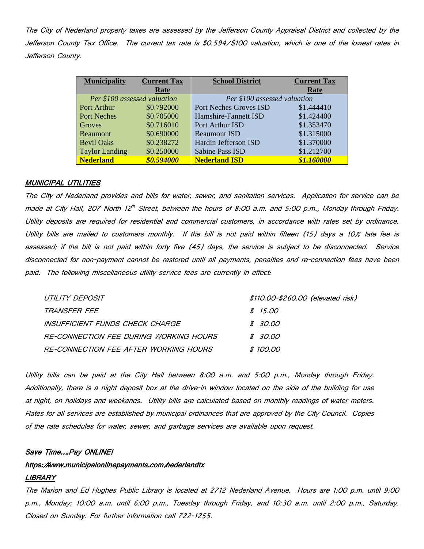The City of Nederland property taxes are assessed by the Jefferson County Appraisal District and collected by the Jefferson County Tax Office. The current tax rate is \$0.594/\$100 valuation, which is one of the lowest rates in Jefferson County.

| <b>Municipality</b>          | <b>Current Tax</b> | <b>School District</b>        | <b>Current Tax</b> |
|------------------------------|--------------------|-------------------------------|--------------------|
|                              | Rate               |                               | Rate               |
| Per \$100 assessed valuation |                    | Per \$100 assessed valuation  |                    |
| Port Arthur                  | \$0.792000         | <b>Port Neches Groves ISD</b> | \$1.444410         |
| <b>Port Neches</b>           | \$0.705000         | Hamshire-Fannett ISD          | \$1.424400         |
| Groves                       | \$0.716010         | Port Arthur ISD               | \$1.353470         |
| <b>Beaumont</b>              | \$0.690000         | <b>Beaumont ISD</b>           | \$1.315000         |
| <b>Bevil Oaks</b>            | \$0.238272         | Hardin Jefferson ISD          | \$1.370000         |
| <b>Taylor Landing</b>        | \$0.250000         | Sabine Pass ISD               | \$1.212700         |
| <b>Nederland</b>             | \$0.594000         | <b>Nederland ISD</b>          | \$1.160000         |

## **MUNICIPAL UTILITIES**

The City of Nederland provides and bills for water, sewer, and sanitation services. Application for service can be made at City Hall, 207 North 12<sup>th</sup> Street, between the hours of 8:00 a.m. and 5:00 p.m., Monday through Friday. Utility deposits are required for residential and commercial customers, in accordance with rates set by ordinance. Utility bills are mailed to customers monthly. If the bill is not paid within fifteen (15) days a 10% late fee is assessed; if the bill is not paid within forty five (45) days, the service is subject to be disconnected. Service disconnected for non-payment cannot be restored until all payments, penalties and re-connection fees have been paid. The following miscellaneous utility service fees are currently in effect:

| UTILITY DEPOSIT                        | \$110.00-\$260.00 (elevated risk) |
|----------------------------------------|-----------------------------------|
| TRANSFER FEE                           | \$15.00                           |
| INSUFFICIENT FUNDS CHECK CHARGE        | \$30.00                           |
| RE-CONNECTION FEE DURING WORKING HOURS | \$30.00                           |
| RE-CONNECTION FEE AFTER WORKING HOURS  | \$100.00                          |

Utility bills can be paid at the City Hall between 8:00 a.m. and 5:00 p.m., Monday through Friday. Additionally, there is a night deposit box at the drive-in window located on the side of the building for use at night, on holidays and weekends. Utility bills are calculated based on monthly readings of water meters. Rates for all services are established by municipal ordinances that are approved by the City Council. Copies of the rate schedules for water, sewer, and garbage services are available upon request.

## Save Time….Pay ONLINE!

# https://www.municipalonlinepayments.com/hederlandtx LIBRARY

The Marion and Ed Hughes Public Library is located at 2712 Nederland Avenue. Hours are 1:00 p.m. until 9:00 p.m., Monday; 10:00 a.m. until 6:00 p.m., Tuesday through Friday, and 10:30 a.m. until 2:00 p.m., Saturday. Closed on Sunday. For further information call 722-1255.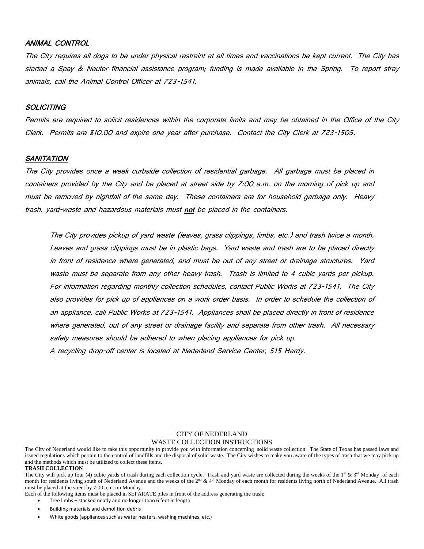## ANIMAL CONTROL

The City requires all dogs to be under physical restraint at all times and vaccinations be kept current. The City has started a Spay & Neuter financial assistance program; funding is made available in the Spring. To report stray animals, call the Animal Control Officer at 723-1541.

## **SOLICITING**

Permits are required to solicit residences within the corporate limits and may be obtained in the Office of the City Clerk. Permits are \$10.00 and expire one year after purchase. Contact the City Clerk at 723-1505.

## **SANITATION**

The City provides once a week curbside collection of residential garbage. All garbage must be placed in containers provided by the City and be placed at street side by 7:00 a.m. on the morning of pick up and must be removed by nightfall of the same day. These containers are for household garbage only. Heavy trash, yard-waste and hazardous materials must not be placed in the containers.

The City provides pickup of yard waste (leaves, grass clippings, limbs, etc.) and trash twice a month. Leaves and grass clippings must be in plastic bags. Yard waste and trash are to be placed directly in front of residence where generated, and must be out of any street or drainage structures. Yard waste must be separate from any other heavy trash. Trash is limited to 4 cubic yards per pickup. For information regarding monthly collection schedules, contact Public Works at 723-1541. The City also provides for pick up of appliances on a work order basis. In order to schedule the collection of an appliance, call Public Works at 723-1541. Appliances shall be placed directly in front of residence where generated, out of any street or drainage facility and separate from other trash. All necessary safety measures should be adhered to when placing appliances for pick up. A recycling drop-off center is located at Nederland Service Center, 515 Hardy.

#### CITY OF NEDERLAND WASTE COLLECTION INSTRUCTIONS

The City of Nederland would like to take this opportunity to provide you with information concerning solid waste collection. The State of Texas has passed laws and issued regulations which pertain to the control of landfills and the disposal of solid waste. The City wishes to make you aware of the types of trash that we may pick up and the methods which must be utilized to collect these items.

#### **TRASH COLLECTION**

The City will pick up four (4) cubic yards of trash during each collection cycle. Trash and yard waste are collected during the weeks of the  $1^{\text{st}}$  &  $3^{\text{rd}}$  Monday of each month for residents living south of Nederland Avenue and the weeks of the 2<sup>nd</sup> & 4<sup>th</sup> Monday of each month for residents living north of Nederland Avenue. All trash must be placed at the street by 7:00 a.m. on Monday.

Each of the following items must be placed in SEPARATE piles in front of the address generating the trash:

- Tree limbs stacked neatly and no longer than 6 feet in length
- Building materials and demolition debris
- White goods (appliances such as water heaters, washing machines, etc.)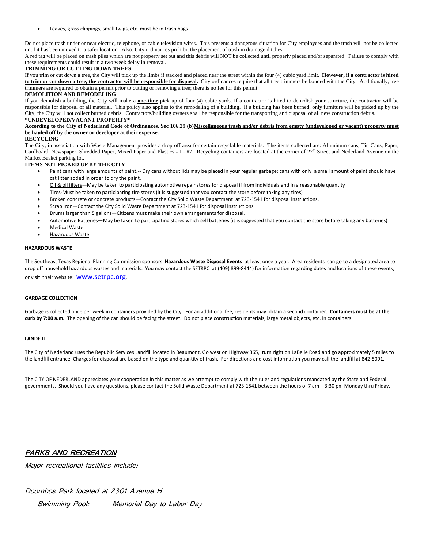Leaves, grass clippings, small twigs, etc. must be in trash bags

Do not place trash under or near electric, telephone, or cable television wires. This presents a dangerous situation for City employees and the trash will not be collected until it has been moved to a safer location. Also, City ordinances prohibit the placement of trash in drainage ditches

A red tag will be placed on trash piles which are not property set out and this debris will NOT be collected until properly placed and/or separated. Failure to comply with these requirements could result in a two week delay in removal.

#### **TRIMMING OR CUTTING DOWN TREES**

If you trim or cut down a tree, the City will pick up the limbs if stacked and placed near the street within the four (4) cubic yard limit. **However, if a contractor is hired to trim or cut down a tree, the contractor will be responsible for disposal.** City ordinances require that all tree trimmers be bonded with the City. Additionally, tree trimmers are required to obtain a permit prior to cutting or removing a tree; there is no fee for this permit.

#### **DEMOLITION AND REMODELING**

If you demolish a building, the City will make a **one-time** pick up of four (4) cubic yards. If a contractor is hired to demolish your structure, the contractor will be responsible for disposal of all material. This policy also applies to the remodeling of a building. If a building has been burned, only furniture will be picked up by the City; the City will not collect burned debris. Contractors/building owners shall be responsible for the transporting and disposal of all new construction debris. **\*UNDEVELOPED/VACANT PROPERTY\***

#### **According to the City of Nederland Code of Ordinances. Sec 106.29 (b)Miscellaneous trash and/or debris from empty (undeveloped or vacant) property must be hauled off by the owner or developer at their expense.**

#### **RECYCLING**

The City, in association with Waste Management provides a drop off area for certain recyclable materials. The items collected are: Aluminum cans, Tin Cans, Paper, Cardboard, Newspaper, Shredded Paper, Mixed Paper and Plastics #1 - #7. Recycling containers are located at the corner of 27<sup>th</sup> Street and Nederland Avenue on the Market Basket parking lot.

#### **ITEMS NOT PICKED UP BY THE CITY**

- Paint cans with large amounts of paint. -- Dry cans without lids may be placed in your regular garbage; cans with only a small amount of paint should have cat litter added in order to dry the paint.
- Oil & oil filters—May be taken to participating automotive repair stores for disposal if from individuals and in a reasonable quantity
- Tires-Must be taken to participating tire stores (it is suggested that you contact the store before taking any tires)
- Broken concrete or concrete products—Contact the City Solid Waste Department at 723-1541 for disposal instructions.
- Scrap Iron—Contact the City Solid Waste Department at 723-1541 for disposal instructions
- Drums larger than 5 gallons—Citizens must make their own arrangements for disposal.
- Automotive Batteries—May be taken to participating stores which sell batteries (it is suggested that you contact the store before taking any batteries)
- **Medical Waste**
- Hazardous Waste

#### **HAZARDOUS WASTE**

The Southeast Texas Regional Planning Commission sponsors **Hazardous Waste Disposal Events** at least once a year. Area residents can go to a designated area to drop off household hazardous wastes and materials. You may contact the SETRPC at (409) 899-8444) for information regarding dates and locations of these events; or visit their website: **WWW.Setrpc.org** 

#### **GARBAGE COLLECTION**

Garbage is collected once per week in containers provided by the City. For an additional fee, residents may obtain a second container. **Containers must be at the curb by 7:00 a.m.** The opening of the can should be facing the street. Do not place construction materials, large metal objects, etc. in containers.

#### **LANDFILL**

The City of Nederland uses the Republic Services Landfill located in Beaumont. Go west on Highway 365, turn right on LaBelle Road and go approximately 5 miles to the landfill entrance. Charges for disposal are based on the type and quantity of trash. For directions and cost information you may call the landfill at 842-5091.

The CITY OF NEDERLAND appreciates your cooperation in this matter as we attempt to comply with the rules and regulations mandated by the State and Federal governments. Should you have any questions, please contact the Solid Waste Department at 723-1541 between the hours of 7 am – 3:30 pm Monday thru Friday.

## PARKS AND RECREATION

Major recreational facilities include:

Doornbos Park located at 2301 Avenue H Swimming Pool: Memorial Day to Labor Day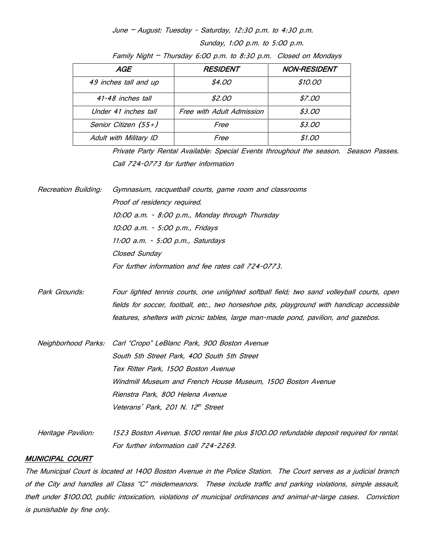June – August: Tuesday - Saturday, 12:30 p.m. to 4:30 p.m.

Sunday, 1:00 p.m. to 5:00 p.m.

|  | Family Night - Thursday 6:00 p.m. to 8:30 p.m. Closed on Mondays |  |  |  |  |  |  |  |  |  |
|--|------------------------------------------------------------------|--|--|--|--|--|--|--|--|--|
|--|------------------------------------------------------------------|--|--|--|--|--|--|--|--|--|

| AGE                    | <i><b>RESIDENT</b></i>    | <b>NON-RESIDENT</b> |
|------------------------|---------------------------|---------------------|
| 49 inches tall and up  | \$4.00                    | \$10.00             |
| 41-48 inches tall      | \$2.00                    | \$7.00              |
| Under 41 inches tall   | Free with Adult Admission | \$3.00              |
| Senior Citizen (55+)   | Free                      | \$3.00              |
| Adult with Military ID | Free                      | \$1.00              |

Private Party Rental Available: Special Events throughout the season. Season Passes. Call 724-0773 for further information

Recreation Building: Gymnasium, racquetball courts, game room and classrooms Proof of residency required. 10:00 a.m. - 8:00 p.m., Monday through Thursday 10:00 a.m. - 5:00 p.m., Fridays 11:00 a.m. - 5:00 p.m., Saturdays Closed Sunday For further information and fee rates call 724-0773.

Park Grounds: Four lighted tennis courts, one unlighted softball field; two sand volleyball courts, open fields for soccer, football, etc., two horseshoe pits, playground with handicap accessible features, shelters with picnic tables, large man-made pond, pavilion, and gazebos.

- Neighborhood Parks: Carl "Cropo" LeBlanc Park, 900 Boston Avenue South 5th Street Park, 400 South 5th Street Tex Ritter Park, 1500 Boston Avenue Windmill Museum and French House Museum, 1500 Boston Avenue Rienstra Park, 800 Helena Avenue Veterans' Park, 201 N. 12<sup>th</sup> Street
- Heritage Pavilion: 1523 Boston Avenue. \$100 rental fee plus \$100.00 refundable deposit required for rental. For further information call 724-2269.

## MUNICIPAL COURT

The Municipal Court is located at 1400 Boston Avenue in the Police Station. The Court serves as a judicial branch of the City and handles all Class "C" misdemeanors. These include traffic and parking violations, simple assault, theft under \$100.00, public intoxication, violations of municipal ordinances and animal-at-large cases. Conviction is punishable by fine only.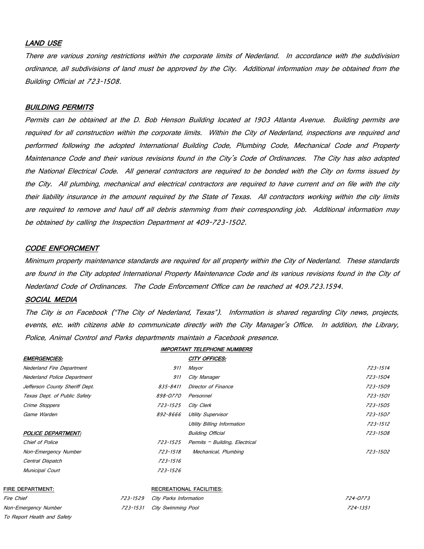## LAND USE

There are various zoning restrictions within the corporate limits of Nederland. In accordance with the subdivision ordinance, all subdivisions of land must be approved by the City. Additional information may be obtained from the Building Official at 723-1508.

## BUILDING PERMITS

Permits can be obtained at the D. Bob Henson Building located at 1903 Atlanta Avenue. Building permits are required for all construction within the corporate limits. Within the City of Nederland, inspections are required and performed following the adopted International Building Code, Plumbing Code, Mechanical Code and Property Maintenance Code and their various revisions found in the City's Code of Ordinances. The City has also adopted the National Electrical Code. All general contractors are required to be bonded with the City on forms issued by the City. All plumbing, mechanical and electrical contractors are required to have current and on file with the city their liability insurance in the amount required by the State of Texas. All contractors working within the city limits are required to remove and haul off all debris stemming from their corresponding job. Additional information may be obtained by calling the Inspection Department at 409-723-1502.

#### CODE ENFORCMENT

Minimum property maintenance standards are required for all property within the City of Nederland. These standards are found in the City adopted International Property Maintenance Code and its various revisions found in the City of Nederland Code of Ordinances. The Code Enforcement Office can be reached at 409.723.1594.

## SOCIAL MEDIA

The City is on Facebook ("The City of Nederland, Texas"). Information is shared regarding City news, projects, events, etc. with citizens able to communicate directly with the City Manager's Office. In addition, the Library, Police, Animal Control and Parks departments maintain a Facebook presence.

|                                  |          |                           | <b>IMPORTANT TELEPHONE NUMBERS</b> |          |
|----------------------------------|----------|---------------------------|------------------------------------|----------|
| <b>EMERGENCIES:</b>              |          |                           | CITY OFFICES:                      |          |
| <b>Nederland Fire Department</b> |          | 911                       | Mayor                              | 723-1514 |
| Nederland Police Department      |          | 911                       | City Manager                       | 723-1504 |
| Jefferson County Sheriff Dept.   |          | 835-8411                  | Director of Finance                | 723-1509 |
| Texas Dept. of Public Safety     |          | 898-0770                  | Personnel                          | 723-1501 |
| Crime Stoppers                   |          | 723-1525                  | City Clerk                         | 723-1505 |
| Game Warden                      |          | 892-8666                  | <b>Utility Supervisor</b>          | 723-1507 |
|                                  |          |                           | Utility Billing Information        | 723-1512 |
| POLICE DEPARTMENT:               |          |                           | <b>Building Official</b>           | 723-1508 |
| Chief of Police                  |          | 723-1525                  | Permits - Building, Electrical     |          |
| Non-Emergency Number             |          | 723-1518                  | Mechanical, Plumbing               | 723-1502 |
| Central Dispatch                 |          | 723-1516                  |                                    |          |
| Municipal Court                  |          | 723-1526                  |                                    |          |
| FIRE DEPARTMENT:                 |          |                           | RECREATIONAL FACILITIES:           |          |
| Fire Chief                       | 723-1529 | City Parks Information    |                                    | 724-0773 |
| Non-Emergency Number             | 723-1531 | <b>City Swimming Pool</b> |                                    | 724-1351 |
| To Report Health and Safety      |          |                           |                                    |          |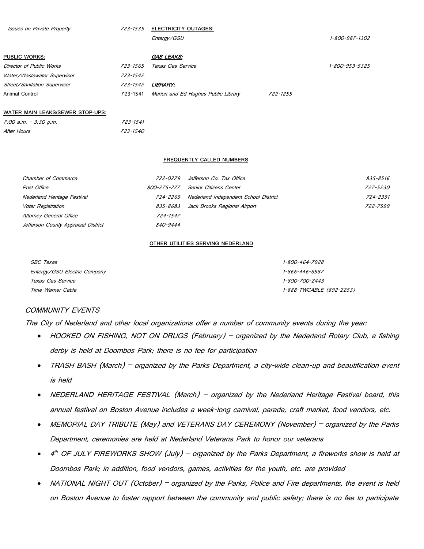| <b>Issues on Private Property</b> | 723-1535 | <b>ELECTRICITY OUTAGES:</b>         |          |                |
|-----------------------------------|----------|-------------------------------------|----------|----------------|
|                                   |          | Entergy/GSU                         |          | 1-800-987-1302 |
| PUBLIC WORKS:                     |          | <b>GAS LEAKS:</b>                   |          |                |
| Director of Public Works          | 723-1565 | Texas Gas Service                   |          | 1-800-959-5325 |
| Water/Wastewater Supervisor       | 723-1542 |                                     |          |                |
| Street/Sanitation Supervisor      | 723-1542 | <b>LIBRARY:</b>                     |          |                |
| Animal Control                    | 723-1541 | Marion and Ed Hughes Public Library | 722-1255 |                |
| MATED MAIN LEAKS/SEMED STOD HDS.  |          |                                     |          |                |

#### **WATER MAIN LEAKS/SEWER STOP-UPS:**

| 7:00 a.m. - 3:30 p.m. | 723-1541 |
|-----------------------|----------|
| After Hours           | 723-1540 |

#### **FREQUENTLY CALLED NUMBERS**

| Chamber of Commerce                 | 722-0279    | Jefferson Co. Tax Office              | 835-8516 |
|-------------------------------------|-------------|---------------------------------------|----------|
| Post Office                         | 800-275-777 | Senior Citizens Center                | 727-5230 |
| Nederland Heritage Festival         | 724-2269    | Nederland Independent School District | 724-2391 |
| Voter Registration                  | 835-8683    | Jack Brooks Regional Airport          | 722-7599 |
| <b>Attorney General Office</b>      | 724-1547    |                                       |          |
| Jefferson County Appraisal District | 840-9444    |                                       |          |

#### **OTHER UTILITIES SERVING NEDERLAND**

| <i>SBC Texas</i>             | 1-800-464-7928           |
|------------------------------|--------------------------|
| Entergy/GSU Electric Company | 1-866-446-6587           |
| Texas Gas Service            | 1-800-700-2443           |
| Time Warner Cable            | 1-888-TWCABLE (892-2253) |

## COMMUNITY EVENTS

The City of Nederland and other local organizations offer a number of community events during the year:

- HOOKED ON FISHING, NOT ON DRUGS (February) organized by the Nederland Rotary Club, a fishing derby is held at Doornbos Park; there is no fee for participation
- TRASH BASH (March) organized by the Parks Department, a city-wide clean-up and beautification event is held
- NEDERLAND HERITAGE FESTIVAL (March) organized by the Nederland Heritage Festival board, this annual festival on Boston Avenue includes a week-long carnival, parade, craft market, food vendors, etc.
- MEMORIAL DAY TRIBUTE (May) and VETERANS DAY CEREMONY (November) organized by the Parks Department, ceremonies are held at Nederland Veterans Park to honor our veterans
- $4<sup>th</sup>$  OF JULY FIREWORKS SHOW (July) organized by the Parks Department, a fireworks show is held at Doornbos Park; in addition, food vendors, games, activities for the youth, etc. are provided
- NATIONAL NIGHT OUT (October) organized by the Parks, Police and Fire departments, the event is held on Boston Avenue to foster rapport between the community and public safety; there is no fee to participate